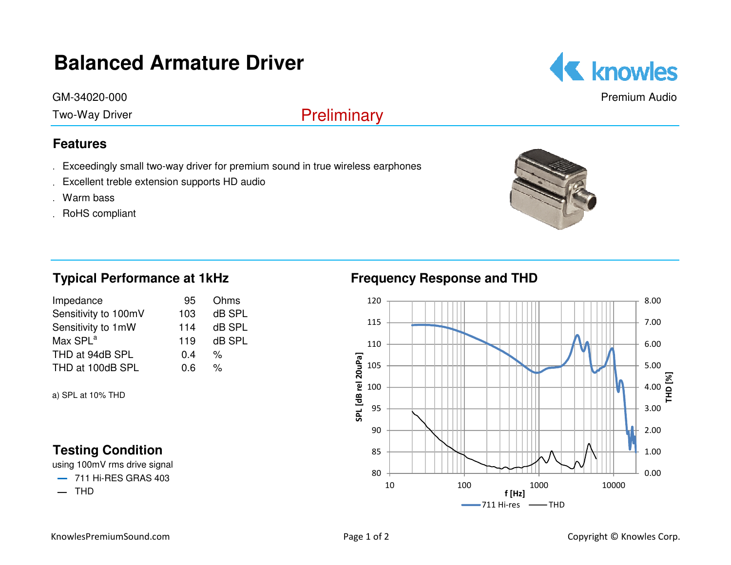# **Balanced Armature Driver**

GM-34020-000

Two-Way Driver

## **Features**

- .Exceedingly small two-way driver for premium sound in true wireless earphones .Excellent treble extension supports HD audio .Warm bass .RoHS compliant
- 
- 
- 









Premium Audio

## **Typical Performance at 1kHz**

| Impedance            | 95  | Ohms   |
|----------------------|-----|--------|
| Sensitivity to 100mV | 103 | dB SPL |
| Sensitivity to 1mW   | 114 | dB SPL |
| Max SPL <sup>a</sup> | 119 | dB SPL |
| THD at 94dB SPL      | 0.4 | %      |
| THD at 100dB SPL     | 0.6 | %      |

a) SPL at 10% THD

## **Testing Condition**

using 100mV rms drive signal

━711 Hi-RES GRAS 403

**—** THD